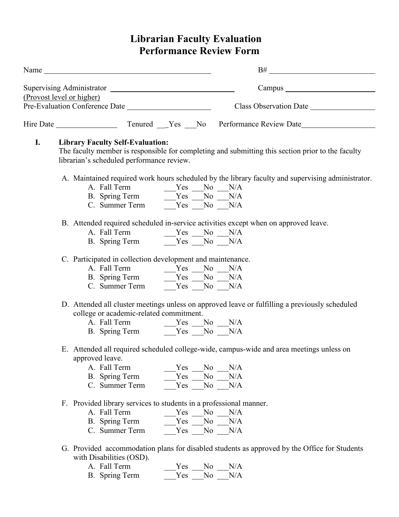# **Librarian Faculty Evaluation Performance Review Form**

| Name |                                                                                                                                                                                                                                                                                                                    | $B#$ and $\overline{\phantom{a}}$ and $\overline{\phantom{a}}$ and $\overline{\phantom{a}}$ and $\overline{\phantom{a}}$ and $\overline{\phantom{a}}$ and $\overline{\phantom{a}}$ and $\overline{\phantom{a}}$ and $\overline{\phantom{a}}$ and $\overline{\phantom{a}}$ and $\overline{\phantom{a}}$ and $\overline{\phantom{a}}$ and $\overline{\phantom{a}}$ and $\overline{\phantom{a}}$ and $\overline$ |
|------|--------------------------------------------------------------------------------------------------------------------------------------------------------------------------------------------------------------------------------------------------------------------------------------------------------------------|---------------------------------------------------------------------------------------------------------------------------------------------------------------------------------------------------------------------------------------------------------------------------------------------------------------------------------------------------------------------------------------------------------------|
|      |                                                                                                                                                                                                                                                                                                                    |                                                                                                                                                                                                                                                                                                                                                                                                               |
|      | (Provost level or higher)                                                                                                                                                                                                                                                                                          |                                                                                                                                                                                                                                                                                                                                                                                                               |
|      | Pre-Evaluation Conference Date                                                                                                                                                                                                                                                                                     |                                                                                                                                                                                                                                                                                                                                                                                                               |
|      |                                                                                                                                                                                                                                                                                                                    |                                                                                                                                                                                                                                                                                                                                                                                                               |
| I.   | <b>Library Faculty Self-Evaluation:</b>                                                                                                                                                                                                                                                                            |                                                                                                                                                                                                                                                                                                                                                                                                               |
|      | The faculty member is responsible for completing and submitting this section prior to the faculty                                                                                                                                                                                                                  |                                                                                                                                                                                                                                                                                                                                                                                                               |
|      | librarian's scheduled performance review.                                                                                                                                                                                                                                                                          |                                                                                                                                                                                                                                                                                                                                                                                                               |
|      |                                                                                                                                                                                                                                                                                                                    |                                                                                                                                                                                                                                                                                                                                                                                                               |
|      |                                                                                                                                                                                                                                                                                                                    | A. Maintained required work hours scheduled by the library faculty and supervising administrator.                                                                                                                                                                                                                                                                                                             |
|      |                                                                                                                                                                                                                                                                                                                    |                                                                                                                                                                                                                                                                                                                                                                                                               |
|      | B. Spring Term $\frac{V}{S}$ $\frac{V}{S}$ $\frac{V}{S}$ $\frac{V}{S}$ $\frac{V}{S}$ $\frac{V}{S}$ $\frac{V}{S}$ $\frac{V}{S}$ $\frac{V}{S}$ $\frac{V}{S}$ $\frac{V}{S}$ $\frac{V}{S}$ $\frac{V}{S}$ $\frac{V}{S}$ $\frac{V}{S}$ $\frac{V}{S}$ $\frac{V}{S}$ $\frac{V}{S}$ $\frac{V}{S}$ $\frac{V}{S}$ $\frac{V}{$ |                                                                                                                                                                                                                                                                                                                                                                                                               |
|      |                                                                                                                                                                                                                                                                                                                    |                                                                                                                                                                                                                                                                                                                                                                                                               |
|      | B. Attended required scheduled in-service activities except when on approved leave.                                                                                                                                                                                                                                |                                                                                                                                                                                                                                                                                                                                                                                                               |
|      |                                                                                                                                                                                                                                                                                                                    |                                                                                                                                                                                                                                                                                                                                                                                                               |
|      |                                                                                                                                                                                                                                                                                                                    |                                                                                                                                                                                                                                                                                                                                                                                                               |
|      |                                                                                                                                                                                                                                                                                                                    |                                                                                                                                                                                                                                                                                                                                                                                                               |
|      | C. Participated in collection development and maintenance.                                                                                                                                                                                                                                                         |                                                                                                                                                                                                                                                                                                                                                                                                               |
|      |                                                                                                                                                                                                                                                                                                                    |                                                                                                                                                                                                                                                                                                                                                                                                               |
|      | A. Fall Term<br>B. Spring Term<br>C. Summer Term<br>$\begin{array}{r} \n\overline{\text{Yes}} \quad \text{No} \quad \text{N/A} \\ \text{Yes} \quad \text{No} \quad \text{N/A} \\ \text{Yes} \quad \text{No} \quad \text{N/A}\n\end{array}$                                                                         |                                                                                                                                                                                                                                                                                                                                                                                                               |
|      |                                                                                                                                                                                                                                                                                                                    |                                                                                                                                                                                                                                                                                                                                                                                                               |
|      | D. Attended all cluster meetings unless on approved leave or fulfilling a previously scheduled                                                                                                                                                                                                                     |                                                                                                                                                                                                                                                                                                                                                                                                               |
|      | college or academic-related commitment.                                                                                                                                                                                                                                                                            |                                                                                                                                                                                                                                                                                                                                                                                                               |
|      |                                                                                                                                                                                                                                                                                                                    |                                                                                                                                                                                                                                                                                                                                                                                                               |
|      | B. Spring Term Yes No N/A                                                                                                                                                                                                                                                                                          |                                                                                                                                                                                                                                                                                                                                                                                                               |
|      |                                                                                                                                                                                                                                                                                                                    |                                                                                                                                                                                                                                                                                                                                                                                                               |
|      | E. Attended all required scheduled college-wide, campus-wide and area meetings unless on                                                                                                                                                                                                                           |                                                                                                                                                                                                                                                                                                                                                                                                               |
|      | approved leave.                                                                                                                                                                                                                                                                                                    |                                                                                                                                                                                                                                                                                                                                                                                                               |
|      | A. Fall Term<br>N <sub>0</sub><br>Yes                                                                                                                                                                                                                                                                              | N/A                                                                                                                                                                                                                                                                                                                                                                                                           |
|      | No<br>Yes<br>B. Spring Term                                                                                                                                                                                                                                                                                        | N/A                                                                                                                                                                                                                                                                                                                                                                                                           |
|      | No<br>C. Summer Term<br>Yes $\overline{\phantom{a}}$                                                                                                                                                                                                                                                               | N/A                                                                                                                                                                                                                                                                                                                                                                                                           |
|      | F. Provided library services to students in a professional manner.                                                                                                                                                                                                                                                 |                                                                                                                                                                                                                                                                                                                                                                                                               |
|      | A. Fall Term<br>N <sub>0</sub><br>Yes                                                                                                                                                                                                                                                                              | N/A                                                                                                                                                                                                                                                                                                                                                                                                           |
|      | No<br>B. Spring Term<br>Yes                                                                                                                                                                                                                                                                                        | N/A                                                                                                                                                                                                                                                                                                                                                                                                           |
|      | No No<br>C. Summer Term<br>Yes                                                                                                                                                                                                                                                                                     | N/A                                                                                                                                                                                                                                                                                                                                                                                                           |
|      |                                                                                                                                                                                                                                                                                                                    |                                                                                                                                                                                                                                                                                                                                                                                                               |
|      | G. Provided accommodation plans for disabled students as approved by the Office for Students                                                                                                                                                                                                                       |                                                                                                                                                                                                                                                                                                                                                                                                               |

- with Disabilities (OSD).
	- A. Fall Term \_\_\_\_\_\_Yes \_\_\_No \_\_\_N/A
	- B. Spring Term  $Yes$  No N/A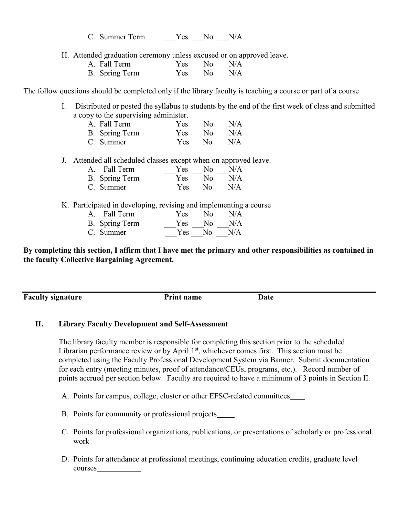C. Summer Term  $Yes$  No N/A

- H. Attended graduation ceremony unless excused or on approved leave.
	- A. Fall Term \_\_\_\_\_\_Yes \_\_\_No \_\_\_N/A B. Spring Term \_\_\_\_\_Yes \_\_\_No \_\_\_N/A

The follow questions should be completed only if the library faculty is teaching a course or part of a course

I. Distributed or posted the syllabus to students by the end of the first week of class and submitted a copy to the supervising administer.

| A. Fall Term   | Yes No N/A |  |
|----------------|------------|--|
| B. Spring Term | Yes No N/A |  |

- C. Summer \_\_\_Yes \_\_\_No \_\_\_N/A
- J. Attended all scheduled classes except when on approved leave.

| A. Fall Term   |  | $Yes$ No N/A |
|----------------|--|--------------|
| B. Spring Term |  | $Yes$ No N/A |

- C. Summer \_\_\_Yes \_\_\_No \_\_\_N/A
- K. Participated in developing, revising and implementing a course

| A. Fall Term          | Yes.       | No. | N/A |
|-----------------------|------------|-----|-----|
| <b>B.</b> Spring Term | <b>Yes</b> | No. | N/A |
| C. Summer             | Yes        | Nο  | N/A |

**By completing this section, I affirm that I have met the primary and other responsibilities as contained in the faculty Collective Bargaining Agreement.**

**Faculty signature Print name Date** 

### **II. Library Faculty Development and Self-Assessment**

The library faculty member is responsible for completing this section prior to the scheduled Librarian performance review or by April 1<sup>st</sup>, whichever comes first. This section must be completed using the Faculty Professional Development System via Banner. Submit documentation for each entry (meeting minutes, proof of attendance/CEUs, programs, etc.). Record number of points accrued per section below. Faculty are required to have a minimum of 3 points in Section II.

A. Points for campus, college, cluster or other EFSC-related committees

- B. Points for community or professional projects
- C. Points for professional organizations, publications, or presentations of scholarly or professional work  $\overline{\phantom{a}}$
- D. Points for attendance at professional meetings, continuing education credits, graduate level courses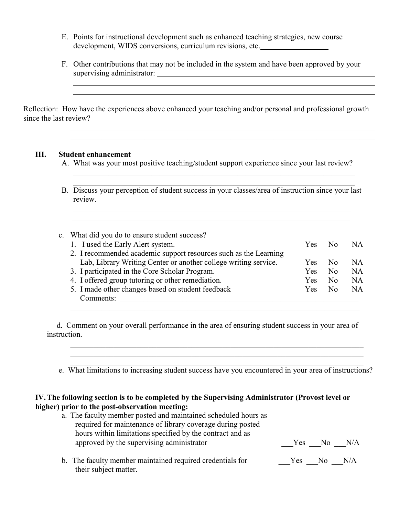- E. Points for instructional development such as enhanced teaching strategies, new course development, WIDS conversions, curriculum revisions, etc.
- F. Other contributions that may not be included in the system and have been approved by your supervising administrator:

Reflection: How have the experiences above enhanced your teaching and/or personal and professional growth since the last review?

#### **III. Student enhancement**

A. What was your most positive teaching/student support experience since your last review?

 $\mathcal{L}_\mathcal{L} = \{ \mathcal{L}_\mathcal{L} = \{ \mathcal{L}_\mathcal{L} = \{ \mathcal{L}_\mathcal{L} = \{ \mathcal{L}_\mathcal{L} = \{ \mathcal{L}_\mathcal{L} = \{ \mathcal{L}_\mathcal{L} = \{ \mathcal{L}_\mathcal{L} = \{ \mathcal{L}_\mathcal{L} = \{ \mathcal{L}_\mathcal{L} = \{ \mathcal{L}_\mathcal{L} = \{ \mathcal{L}_\mathcal{L} = \{ \mathcal{L}_\mathcal{L} = \{ \mathcal{L}_\mathcal{L} = \{ \mathcal{L}_\mathcal{$  $\mathcal{L}_\text{max}$  , and the contribution of the contribution of the contribution of the contribution of the contribution of the contribution of the contribution of the contribution of the contribution of the contribution of t

B. Discuss your perception of student success in your classes/area of instruction since your last review.

 $\mathcal{L}_\text{max}$  , and the contribution of the contribution of the contribution of the contribution of the contribution of the contribution of the contribution of the contribution of the contribution of the contribution of t  $\mathcal{L}_\text{max} = \mathcal{L}_\text{max} = \mathcal{L}_\text{max} = \mathcal{L}_\text{max} = \mathcal{L}_\text{max} = \mathcal{L}_\text{max} = \mathcal{L}_\text{max} = \mathcal{L}_\text{max} = \mathcal{L}_\text{max} = \mathcal{L}_\text{max} = \mathcal{L}_\text{max} = \mathcal{L}_\text{max} = \mathcal{L}_\text{max} = \mathcal{L}_\text{max} = \mathcal{L}_\text{max} = \mathcal{L}_\text{max} = \mathcal{L}_\text{max} = \mathcal{L}_\text{max} = \mathcal{$ 

 $\mathcal{L}_\text{max} = \mathcal{L}_\text{max} = \mathcal{L}_\text{max} = \mathcal{L}_\text{max} = \mathcal{L}_\text{max} = \mathcal{L}_\text{max} = \mathcal{L}_\text{max} = \mathcal{L}_\text{max} = \mathcal{L}_\text{max} = \mathcal{L}_\text{max} = \mathcal{L}_\text{max} = \mathcal{L}_\text{max} = \mathcal{L}_\text{max} = \mathcal{L}_\text{max} = \mathcal{L}_\text{max} = \mathcal{L}_\text{max} = \mathcal{L}_\text{max} = \mathcal{L}_\text{max} = \mathcal{$  $\mathcal{L}_\text{max} = \mathcal{L}_\text{max} = \mathcal{L}_\text{max} = \mathcal{L}_\text{max} = \mathcal{L}_\text{max} = \mathcal{L}_\text{max} = \mathcal{L}_\text{max} = \mathcal{L}_\text{max} = \mathcal{L}_\text{max} = \mathcal{L}_\text{max} = \mathcal{L}_\text{max} = \mathcal{L}_\text{max} = \mathcal{L}_\text{max} = \mathcal{L}_\text{max} = \mathcal{L}_\text{max} = \mathcal{L}_\text{max} = \mathcal{L}_\text{max} = \mathcal{L}_\text{max} = \mathcal{$ 

| c. What did you do to ensure student success?                    |     |                |           |
|------------------------------------------------------------------|-----|----------------|-----------|
| 1. I used the Early Alert system.                                | Yes | N <sub>0</sub> | NA        |
| 2. I recommended academic support resources such as the Learning |     |                |           |
| Lab, Library Writing Center or another college writing service.  | Yes | N <sub>0</sub> | NA        |
| 3. I participated in the Core Scholar Program.                   | Yes | No             | <b>NA</b> |
| 4. I offered group tutoring or other remediation.                | Yes | N <sub>0</sub> | NA        |
| 5. I made other changes based on student feedback                | Yes | N <sub>0</sub> | NA        |
| Comments:                                                        |     |                |           |
|                                                                  |     |                |           |

 d. Comment on your overall performance in the area of ensuring student success in your area of instruction.

 $\mathcal{L}_\text{max} = \frac{1}{2} \sum_{i=1}^n \mathcal{L}_\text{max}(\mathbf{z}_i - \mathbf{z}_i)$ e. What limitations to increasing student success have you encountered in your area of instructions?

 $\mathcal{L}_\mathcal{L} = \{ \mathcal{L}_\mathcal{L} = \{ \mathcal{L}_\mathcal{L} = \{ \mathcal{L}_\mathcal{L} = \{ \mathcal{L}_\mathcal{L} = \{ \mathcal{L}_\mathcal{L} = \{ \mathcal{L}_\mathcal{L} = \{ \mathcal{L}_\mathcal{L} = \{ \mathcal{L}_\mathcal{L} = \{ \mathcal{L}_\mathcal{L} = \{ \mathcal{L}_\mathcal{L} = \{ \mathcal{L}_\mathcal{L} = \{ \mathcal{L}_\mathcal{L} = \{ \mathcal{L}_\mathcal{L} = \{ \mathcal{L}_\mathcal{$  $\mathcal{L}_\mathcal{L} = \{ \mathcal{L}_\mathcal{L} = \{ \mathcal{L}_\mathcal{L} = \{ \mathcal{L}_\mathcal{L} = \{ \mathcal{L}_\mathcal{L} = \{ \mathcal{L}_\mathcal{L} = \{ \mathcal{L}_\mathcal{L} = \{ \mathcal{L}_\mathcal{L} = \{ \mathcal{L}_\mathcal{L} = \{ \mathcal{L}_\mathcal{L} = \{ \mathcal{L}_\mathcal{L} = \{ \mathcal{L}_\mathcal{L} = \{ \mathcal{L}_\mathcal{L} = \{ \mathcal{L}_\mathcal{L} = \{ \mathcal{L}_\mathcal{$ 

### **IV.The following section is to be completed by the Supervising Administrator (Provost level or higher) prior to the post-observation meeting:**

| a. The faculty member posted and maintained scheduled hours as |            |            |  |
|----------------------------------------------------------------|------------|------------|--|
| required for maintenance of library coverage during posted     |            |            |  |
| hours within limitations specified by the contract and as      |            |            |  |
| approved by the supervising administrator                      |            | Yes No N/A |  |
|                                                                |            |            |  |
| b. The faculty member maintained required credentials for      | Yes No N/A |            |  |
| their subject matter.                                          |            |            |  |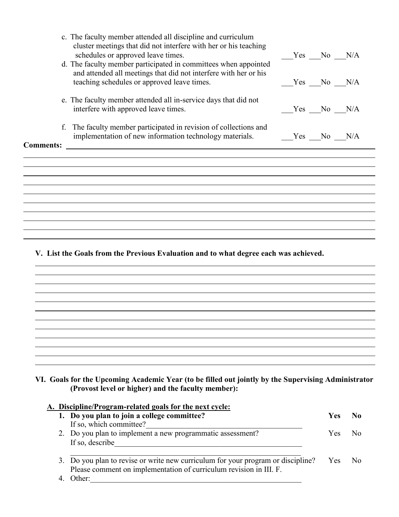|                  | c. The faculty member attended all discipline and curriculum<br>cluster meetings that did not interfere with her or his teaching    |        |              |  |
|------------------|-------------------------------------------------------------------------------------------------------------------------------------|--------|--------------|--|
|                  | schedules or approved leave times.                                                                                                  |        | $Yes$ No N/A |  |
|                  | d. The faculty member participated in committees when appointed<br>and attended all meetings that did not interfere with her or his |        |              |  |
|                  | teaching schedules or approved leave times.                                                                                         |        | Yes No N/A   |  |
|                  | e. The faculty member attended all in-service days that did not<br>interfere with approved leave times.                             |        | Yes No N/A   |  |
| f.               | The faculty member participated in revision of collections and<br>implementation of new information technology materials.           | Yes No | N/A          |  |
| <b>Comments:</b> |                                                                                                                                     |        |              |  |
|                  |                                                                                                                                     |        |              |  |
|                  |                                                                                                                                     |        |              |  |
|                  |                                                                                                                                     |        |              |  |

**V. List the Goals from the Previous Evaluation and to what degree each was achieved.**

**VI. Goals for the Upcoming Academic Year (to be filled out jointly by the Supervising Administrator (Provost level or higher) and the faculty member):**

# **A. Discipline/Program-related goals for the next cycle:**

| 1. Do you plan to join a college committee?                                          | <b>Yes</b> |                |
|--------------------------------------------------------------------------------------|------------|----------------|
| If so, which committee?                                                              |            |                |
| 2. Do you plan to implement a new programmatic assessment?                           | Yes.       | N٥             |
| If so, describe                                                                      |            |                |
|                                                                                      |            |                |
| 3. Do you plan to revise or write new curriculum for your program or discipline? Yes |            | N <sub>0</sub> |
| Please comment on implementation of curriculum revision in III. F.                   |            |                |
| Other:                                                                               |            |                |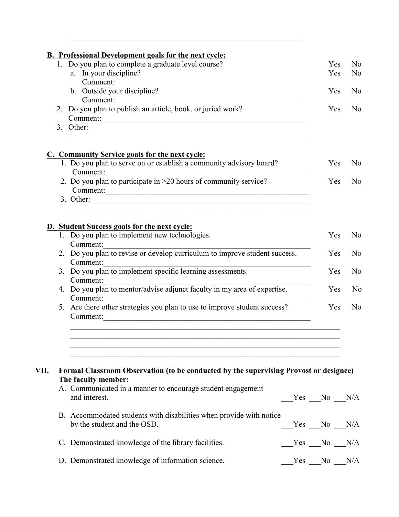|      | <b>B.</b> Professional Development goals for the next cycle:<br>1. Do you plan to complete a graduate level course?                                                                                                                        | Yes            | N <sub>0</sub> |
|------|--------------------------------------------------------------------------------------------------------------------------------------------------------------------------------------------------------------------------------------------|----------------|----------------|
|      | a. In your discipline?                                                                                                                                                                                                                     | Yes            | N <sub>0</sub> |
|      | Comment:                                                                                                                                                                                                                                   |                |                |
|      | b. Outside your discipline?                                                                                                                                                                                                                | Yes            | N <sub>0</sub> |
|      |                                                                                                                                                                                                                                            |                |                |
|      | Comment: 2. Do you plan to publish an article, book, or juried work?                                                                                                                                                                       | Yes            | N <sub>0</sub> |
|      | Comment:                                                                                                                                                                                                                                   |                |                |
|      | 3. Other: $\frac{1}{2}$ Other:                                                                                                                                                                                                             |                |                |
|      | <b>C. Community Service goals for the next cycle:</b>                                                                                                                                                                                      |                |                |
|      | 1. Do you plan to serve on or establish a community advisory board?<br>Comment:                                                                                                                                                            | Yes            | N <sub>0</sub> |
|      | Comment: $\frac{1}{2}$ . Do you plan to participate in >20 hours of community service?<br>Comment:                                                                                                                                         | Yes            | N <sub>0</sub> |
|      |                                                                                                                                                                                                                                            |                |                |
|      | <b>D.</b> Student Success goals for the next cycle:                                                                                                                                                                                        |                |                |
|      | 1. Do you plan to implement new technologies.                                                                                                                                                                                              | Yes            | N <sub>0</sub> |
|      | Comment:<br>2. Do you plan to revise or develop curriculum to improve student success.                                                                                                                                                     |                |                |
|      | Comment:                                                                                                                                                                                                                                   | Yes            | N <sub>0</sub> |
|      | S. Do you plan to implement specific learning assessments.                                                                                                                                                                                 | Yes            | N <sub>o</sub> |
|      | Comment:<br>Comment: Comment: Commentor Commentor and Comments and Comments and Comments and Comments and Comments and Comments and Comments and Comments and Comments and Comments and Comments and Comments and Comments and Comments an | Yes            | N <sub>o</sub> |
|      | Comment:<br>5. Are there other strategies you plan to use to improve student success?                                                                                                                                                      | Yes            | N <sub>0</sub> |
|      | Comment:                                                                                                                                                                                                                                   |                |                |
|      |                                                                                                                                                                                                                                            |                |                |
| VII. | Formal Classroom Observation (to be conducted by the supervising Provost or designee)                                                                                                                                                      |                |                |
|      | The faculty member:<br>A. Communicated in a manner to encourage student engagement<br>and interest.                                                                                                                                        | $Yes$ No $N/A$ |                |
|      | B. Accommodated students with disabilities when provide with notice<br>by the student and the OSD.                                                                                                                                         | $Yes$ No $N/A$ |                |
|      | C. Demonstrated knowledge of the library facilities.                                                                                                                                                                                       | Yes No N/A     |                |
|      | D. Demonstrated knowledge of information science.                                                                                                                                                                                          | $Yes$ No $N/A$ |                |

 $\mathcal{L}_\text{max}$  and the contract of the contract of the contract of the contract of the contract of the contract of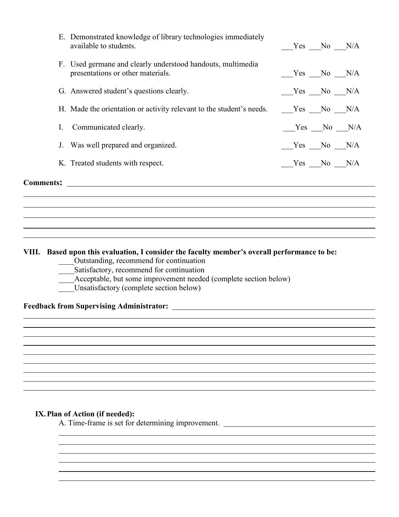| <b>Comments:</b> |                                                                                                  |                |  |
|------------------|--------------------------------------------------------------------------------------------------|----------------|--|
|                  | K. Treated students with respect.                                                                | $Yes$ No $N/A$ |  |
|                  | J. Was well prepared and organized.                                                              | $Yes$ No $N/A$ |  |
| L.               | Communicated clearly.                                                                            | $Yes$ No $N/A$ |  |
|                  | H. Made the orientation or activity relevant to the student's needs. _____Yes ___No ___N/A       |                |  |
|                  | G. Answered student's questions clearly.                                                         | $Yes$ No $N/A$ |  |
|                  | F. Used germane and clearly understood handouts, multimedia<br>presentations or other materials. | $Yes$ No $N/A$ |  |
|                  | E. Demonstrated knowledge of library technologies immediately<br>available to students.          | Yes No N/A     |  |

### **VIII. Based upon this evaluation, I consider the faculty member's overall performance to be:**

- \_\_\_\_Outstanding, recommend for continuation
- \_\_\_\_Satisfactory, recommend for continuation
- Acceptable, but some improvement needed (complete section below)
- Unsatisfactory (complete section below)

### **Feedback from Supervising Administrator:**

### **IX.Plan of Action (if needed):**

A. Time-frame is set for determining improvement.